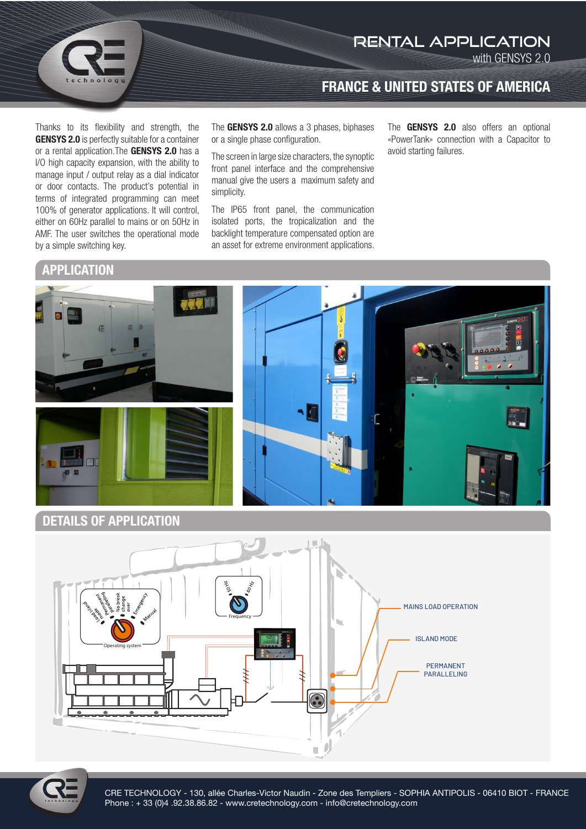

Thanks to its flexibility and strength, the GENSYS 2.0 is perfectly suitable for a container or a rental application. The GENSYS 2.0 has a I/O high capacity expansion, with the ability to manage input / output relay as a dial indicator or door contacts. The product's potential in terms of integrated programming can meet 100% of generator applications. It will control, either on 60Hz parallel to mains or on 50Hz in AMF. The user switches the operational mode

The **GENSYS 2.0** allows a 3 phases, biphases

The screen in large size characters, the synoptic front panel interface and the comprehensive manual give the users a maximum safety and simplicity.

or a single phase configuration.

The IP65 front panel, the communication isolated ports, the tropicalization and the backlight temperature compensated option are an asset for extreme environment applications.

The **GENSYS 2.0** also offers an optional «PowerTank» connection with a Capacitor to avoid starting failures.

with GENSYS 2.0

rental application

FRANCE & UNITED STATES OF AMERICA

**APPLICATION** 

by a simple switching key.



## DETAILS OF APPLICATION





CRE TECHNOLOGY - 130, allée Charles-Victor Naudin - Zone des Templiers - SOPHIA ANTIPOLIS - 06410 BIOT - FRANCE Phone : + 33 (0)4 .92.38.86.82 - www.cretechnology.com - info@cretechnology.com